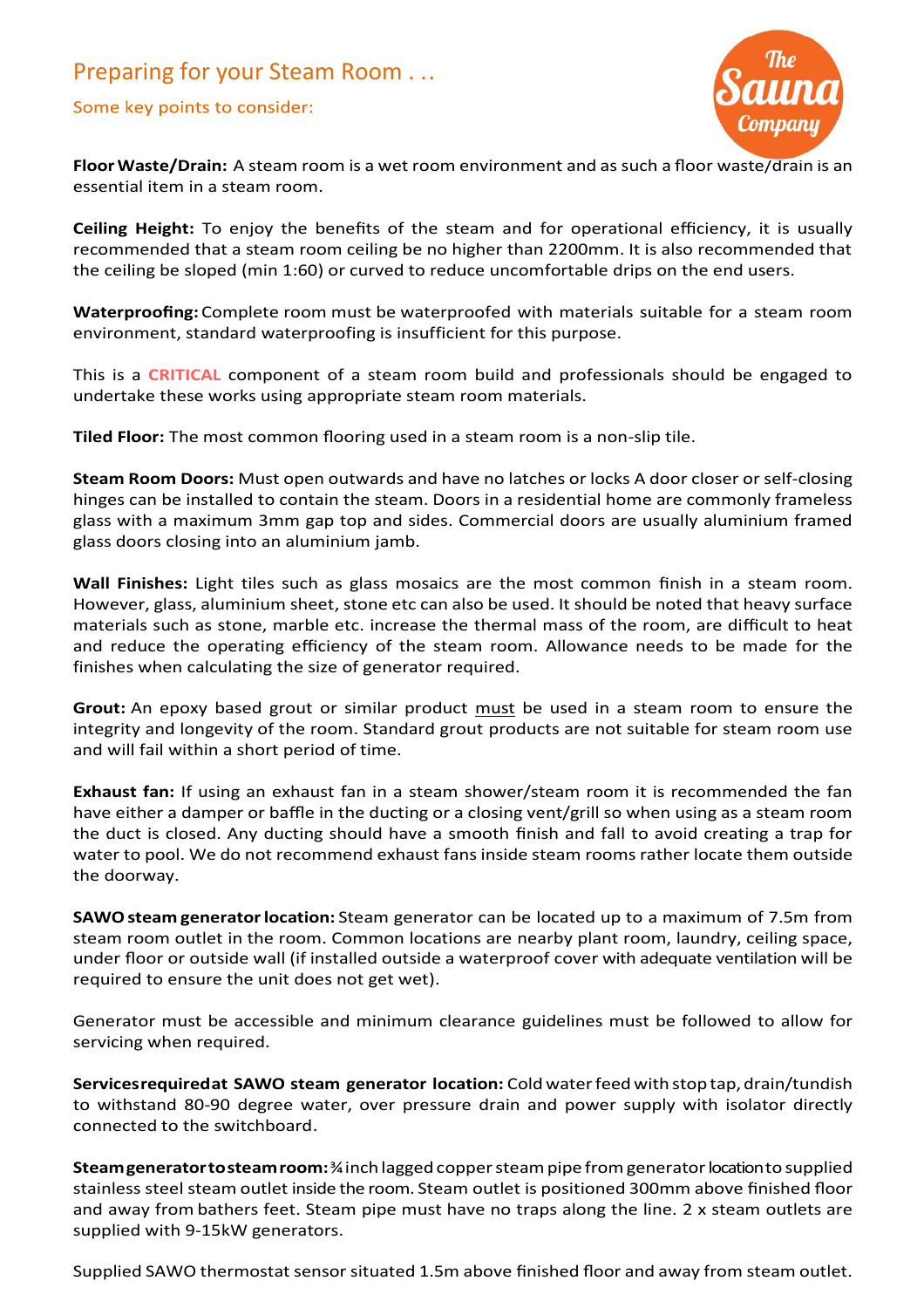## Preparing for your Steam Room . ..

## Some key points to consider:



**FloorWaste/Drain:** A steam room is a wet room environment and as such a floor waste/drain is an essential item in a steam room.

**Ceiling Height:** To enjoy the benefits of the steam and for operational efficiency, it is usually recommended that a steam room ceiling be no higher than 2200mm. It is also recommended that the ceiling be sloped (min 1:60) or curved to reduce uncomfortable drips on the end users.

**Waterproofing:** Complete room must be waterproofed with materials suitable for a steam room environment, standard waterproofing is insufficient for this purpose.

This is a **CRITICAL** component of a steam room build and professionals should be engaged to undertake these works using appropriate steam room materials.

**Tiled Floor:** The most common flooring used in a steam room is a non-slip tile.

**Steam Room Doors:** Must open outwards and have no latches or locks A door closer or self-closing hinges can be installed to contain the steam. Doors in a residential home are commonly frameless glass with a maximum 3mm gap top and sides. Commercial doors are usually aluminium framed glass doors closing into an aluminium jamb.

**Wall Finishes:** Light tiles such as glass mosaics are the most common finish in a steam room. However, glass, aluminium sheet, stone etc can also be used. It should be noted that heavy surface materials such as stone, marble etc. increase the thermal mass of the room, are difficult to heat and reduce the operating efficiency of the steam room. Allowance needs to be made for the finishes when calculating the size of generator required.

**Grout:** An epoxy based grout or similar product must be used in a steam room to ensure the integrity and longevity of the room. Standard grout products are not suitable for steam room use and will fail within a short period of time.

**Exhaust fan:** If using an exhaust fan in a steam shower/steam room it is recommended the fan have either a damper or baffle in the ducting or a closing vent/grill so when using as a steam room the duct is closed. Any ducting should have a smooth finish and fall to avoid creating a trap for water to pool. We do not recommend exhaust fans inside steam rooms rather locate them outside the doorway.

**SAWOsteam generatorlocation:** Steam generator can be located up to a maximum of 7.5m from steam room outlet in the room. Common locations are nearby plant room, laundry, ceiling space, under floor or outside wall (if installed outside a waterproof cover with adequate ventilation will be required to ensure the unit does not get wet).

Generator must be accessible and minimum clearance guidelines must be followed to allow for servicing when required.

**Services requiredat SAWO steam generator location:** Cold water feed with stop tap, drain/tundish to withstand 80-90 degree water, over pressure drain and power supply with isolator directly connected to the switchboard.

**Steamgeneratortosteamroom:**¾inch lagged coppersteampipe fromgeneratorlocation to supplied stainless steel steam outlet inside the room. Steam outlet is positioned 300mm above finished floor and away from bathers feet. Steam pipe must have no traps along the line. 2 x steam outlets are supplied with 9-15kW generators.

Supplied SAWO thermostat sensor situated 1.5m above finished floor and away from steam outlet.